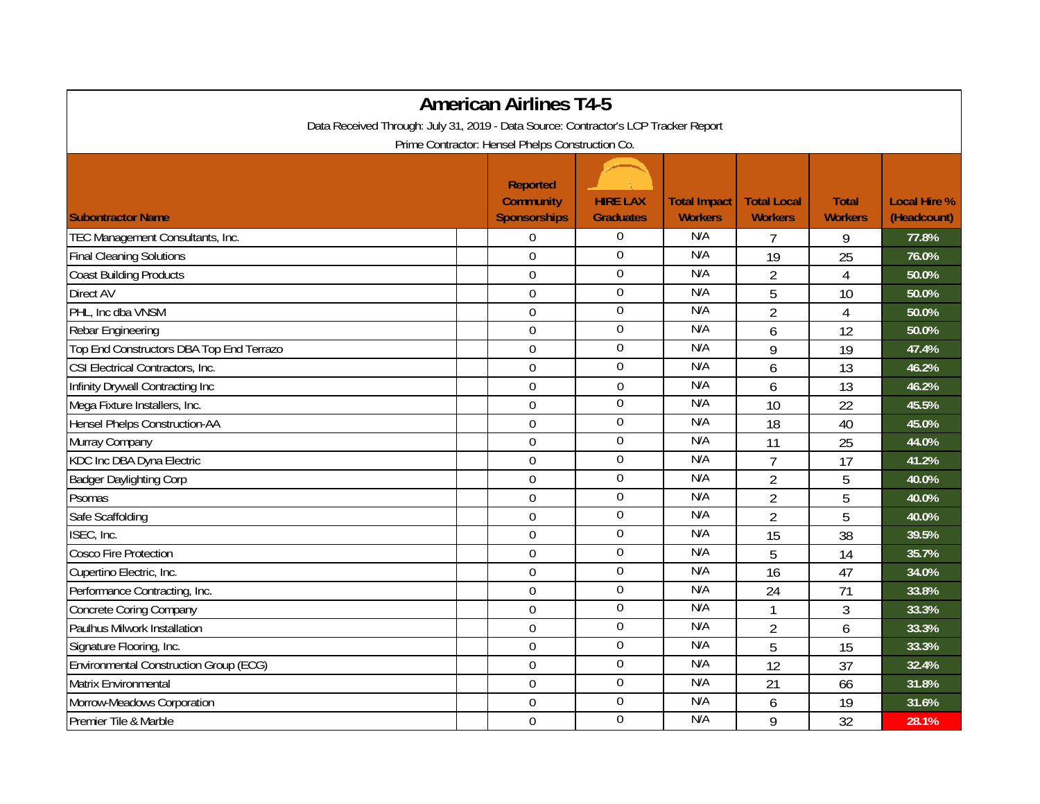| <b>American Airlines T4-5</b>                                                       |                                                            |                                     |                                       |                                      |                                |                                    |  |  |  |  |  |  |
|-------------------------------------------------------------------------------------|------------------------------------------------------------|-------------------------------------|---------------------------------------|--------------------------------------|--------------------------------|------------------------------------|--|--|--|--|--|--|
| Data Received Through: July 31, 2019 - Data Source: Contractor's LCP Tracker Report |                                                            |                                     |                                       |                                      |                                |                                    |  |  |  |  |  |  |
| Prime Contractor: Hensel Phelps Construction Co.                                    |                                                            |                                     |                                       |                                      |                                |                                    |  |  |  |  |  |  |
| <b>Subontractor Name</b>                                                            | <b>Reported</b><br><b>Community</b><br><b>Sponsorships</b> | <b>HIRE LAX</b><br><b>Graduates</b> | <b>Total Impact</b><br><b>Workers</b> | <b>Total Local</b><br><b>Workers</b> | <b>Total</b><br><b>Workers</b> | <b>Local Hire %</b><br>(Headcount) |  |  |  |  |  |  |
| TEC Management Consultants, Inc.                                                    | $\Omega$                                                   | 0                                   | N/A                                   | 7                                    | 9                              | 77.8%                              |  |  |  |  |  |  |
| <b>Final Cleaning Solutions</b>                                                     | $\overline{0}$                                             | 0                                   | N/A                                   | 19                                   | 25                             | 76.0%                              |  |  |  |  |  |  |
| <b>Coast Building Products</b>                                                      | $\mathbf 0$                                                | $\overline{0}$                      | N/A                                   | $\overline{2}$                       | $\overline{4}$                 | 50.0%                              |  |  |  |  |  |  |
| Direct AV                                                                           | $\overline{0}$                                             | $\boldsymbol{0}$                    | N/A                                   | 5                                    | 10                             | 50.0%                              |  |  |  |  |  |  |
| PHL, Inc dba VNSM                                                                   | $\mathbf 0$                                                | $\boldsymbol{0}$                    | N/A                                   | $\overline{2}$                       | $\overline{4}$                 | 50.0%                              |  |  |  |  |  |  |
| Rebar Engineering                                                                   | $\overline{0}$                                             | $\boldsymbol{0}$                    | N/A                                   | 6                                    | 12                             | 50.0%                              |  |  |  |  |  |  |
| Top End Constructors DBA Top End Terrazo                                            | $\overline{0}$                                             | $\mathbf 0$                         | N/A                                   | 9                                    | 19                             | 47.4%                              |  |  |  |  |  |  |
| CSI Electrical Contractors, Inc.                                                    | $\mathbf 0$                                                | $\overline{0}$                      | N/A                                   | 6                                    | 13                             | 46.2%                              |  |  |  |  |  |  |
| Infinity Drywall Contracting Inc                                                    | $\overline{0}$                                             | $\boldsymbol{0}$                    | N/A                                   | 6                                    | 13                             | 46.2%                              |  |  |  |  |  |  |
| Mega Fixture Installers, Inc.                                                       | $\Omega$                                                   | $\mathbf 0$                         | N/A                                   | 10                                   | 22                             | 45.5%                              |  |  |  |  |  |  |
| Hensel Phelps Construction-AA                                                       | $\mathbf 0$                                                | $\boldsymbol{0}$                    | N/A                                   | 18                                   | 40                             | 45.0%                              |  |  |  |  |  |  |
| Murray Company                                                                      | $\mathbf 0$                                                | $\overline{0}$                      | N/A                                   | 11                                   | 25                             | 44.0%                              |  |  |  |  |  |  |
| KDC Inc DBA Dyna Electric                                                           | $\mathbf 0$                                                | $\boldsymbol{0}$                    | N/A                                   | $\overline{7}$                       | 17                             | 41.2%                              |  |  |  |  |  |  |
| <b>Badger Daylighting Corp</b>                                                      | $\boldsymbol{0}$                                           | 0                                   | N/A                                   | $\overline{2}$                       | 5                              | 40.0%                              |  |  |  |  |  |  |
| Psomas                                                                              | $\mathbf 0$                                                | $\boldsymbol{0}$                    | N/A                                   | $\overline{2}$                       | 5                              | 40.0%                              |  |  |  |  |  |  |
| Safe Scaffolding                                                                    | $\overline{0}$                                             | $\overline{0}$                      | N/A                                   | $\overline{2}$                       | 5                              | 40.0%                              |  |  |  |  |  |  |
| ISEC, Inc.                                                                          | $\Omega$                                                   | $\overline{0}$                      | N/A                                   | 15                                   | 38                             | 39.5%                              |  |  |  |  |  |  |
| Cosco Fire Protection                                                               | $\mathbf 0$                                                | 0                                   | N/A                                   | 5                                    | 14                             | 35.7%                              |  |  |  |  |  |  |
| Cupertino Electric, Inc.                                                            | $\mathbf 0$                                                | $\boldsymbol{0}$                    | N/A                                   | 16                                   | 47                             | 34.0%                              |  |  |  |  |  |  |
| Performance Contracting, Inc.                                                       | $\mathbf 0$                                                | $\overline{0}$                      | N/A                                   | 24                                   | 71                             | 33.8%                              |  |  |  |  |  |  |
| <b>Concrete Coring Company</b>                                                      | $\overline{0}$                                             | $\overline{0}$                      | N/A                                   | $\mathbf{1}$                         | 3                              | 33.3%                              |  |  |  |  |  |  |
| Paulhus Milwork Installation                                                        | $\mathbf 0$                                                | $\boldsymbol{0}$                    | N/A                                   | $\overline{2}$                       | 6                              | 33.3%                              |  |  |  |  |  |  |
| Signature Flooring, Inc.                                                            | $\overline{0}$                                             | $\mathbf 0$                         | N/A                                   | 5                                    | 15                             | 33.3%                              |  |  |  |  |  |  |
| <b>Environmental Construction Group (ECG)</b>                                       | $\mathbf 0$                                                | $\overline{0}$                      | N/A                                   | $\overline{12}$                      | 37                             | 32.4%                              |  |  |  |  |  |  |
| Matrix Environmental                                                                | $\boldsymbol{0}$                                           | $\overline{0}$                      | N/A                                   | 21                                   | 66                             | 31.8%                              |  |  |  |  |  |  |
| Morrow-Meadows Corporation                                                          | $\mathbf 0$                                                | $\boldsymbol{0}$                    | N/A                                   | 6                                    | 19                             | 31.6%                              |  |  |  |  |  |  |
| Premier Tile & Marble                                                               | $\mathbf 0$                                                | 0                                   | N/A                                   | 9                                    | 32                             | 28.1%                              |  |  |  |  |  |  |